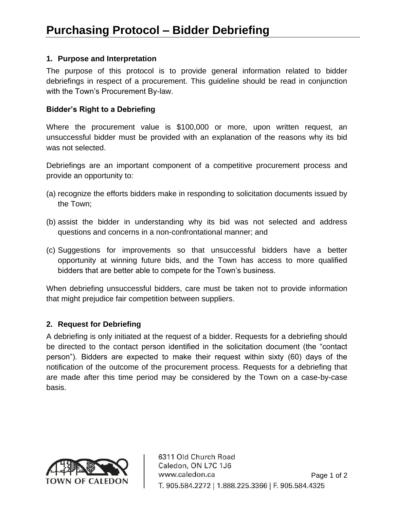## **1. Purpose and Interpretation**

 The purpose of this protocol is to provide general information related to bidder debriefings in respect of a procurement. This guideline should be read in conjunction with the Town's Procurement By-law.

### **Bidder's Right to a Debriefing**

 Where the procurement value is \$100,000 or more, upon written request, an unsuccessful bidder must be provided with an explanation of the reasons why its bid was not selected.

Debriefings are an important component of a competitive procurement process and provide an opportunity to:

- (a) recognize the efforts bidders make in responding to solicitation documents issued by the Town;
- (b) assist the bidder in understanding why its bid was not selected and address questions and concerns in a non-confrontational manner; and
- (c) Suggestions for improvements so that unsuccessful bidders have a better opportunity at winning future bids, and the Town has access to more qualified bidders that are better able to compete for the Town's business.

 When debriefing unsuccessful bidders, care must be taken not to provide information that might prejudice fair competition between suppliers.

# **2. Request for Debriefing**

 be directed to the contact person identified in the solicitation document (the "contact A debriefing is only initiated at the request of a bidder. Requests for a debriefing should person"). Bidders are expected to make their request within sixty (60) days of the notification of the outcome of the procurement process. Requests for a debriefing that are made after this time period may be considered by the Town on a case-by-case basis.



6311 Old Church Road Caledon, ON L7C 1J6 www.caledon.ca Page 1 of 2 T. 905.584.2272 | 1.888.225.3366 | F. 905.584.4325